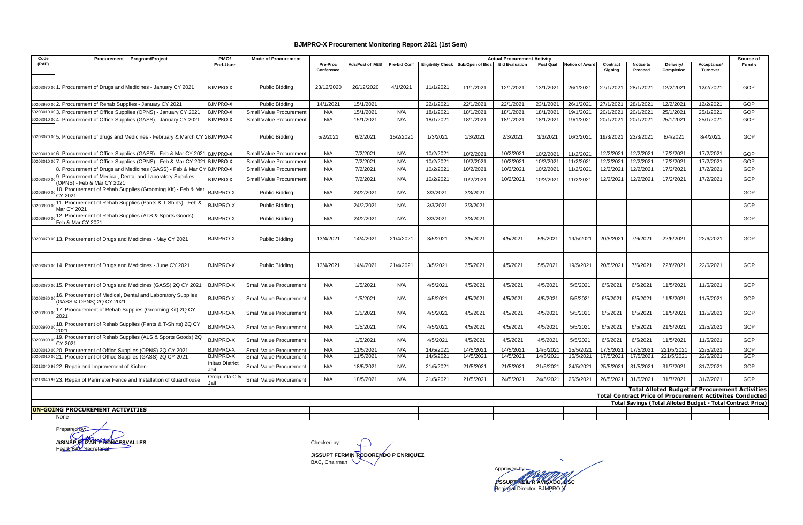## **BJMPRO-X Procurement Monitoring Report 2021 (1st Sem)**

| Code      | PMO/<br><b>Actual Procurement Activity</b><br>Procurement Program/Project<br><b>Mode of Procurement</b> |                                           |                                |                        |                  |                     |                          |                  |                          |           |                 |                     |                          | Source of                      |                                |                                                                                                                          |
|-----------|---------------------------------------------------------------------------------------------------------|-------------------------------------------|--------------------------------|------------------------|------------------|---------------------|--------------------------|------------------|--------------------------|-----------|-----------------|---------------------|--------------------------|--------------------------------|--------------------------------|--------------------------------------------------------------------------------------------------------------------------|
| (PAP)     |                                                                                                         | End-User                                  |                                | Pre-Proc<br>Conference | Ads/Post of IAEB | <b>Pre-bid Conf</b> | <b>Eligibility Check</b> | Sub/Open of Bids | <b>Bid Evaluation</b>    | Post Qual | Notice of Award | Contract<br>Signing | Notice to<br>Proceed     | <b>Delivery/</b><br>Completion | Acceptance/<br><b>Turnover</b> | <b>Funds</b>                                                                                                             |
|           | 50203070 00 1. Procurement of Drugs and Medicines - January CY 2021                                     | <b>BJMPRO-X</b>                           | Public Bidding                 | 23/12/2020             | 26/12/2020       | 4/1/2021            | 11/1/2021                | 11/1/2021        | 12/1/2021                | 13/1/2021 | 26/1/2021       | 27/1/2021           | 28/1/2021                | 12/2/2021                      | 12/2/2021                      | GOP                                                                                                                      |
| 50203990  | 2. Procurement of Rehab Supplies - January CY 2021                                                      | <b>BJMPRO-X</b>                           | <b>Public Bidding</b>          | 14/1/2021              | 15/1/2021        |                     | 22/1/2021                | 22/1/2021        | 22/1/2021                | 23/1/2021 | 26/1/2021       | 27/1/2021           | 28/1/2021                | 12/2/2021                      | 12/2/2021                      | GOP                                                                                                                      |
| 50203010  | 3. Procurement of Office Supplies (OPNS) - January CY 2021                                              | <b>BJMPRO-X</b>                           | Small Value Procurement        | N/A                    | 15/1/2021        | N/A                 | 18/1/2021                | 18/1/2021        | 18/1/2021                | 18/1/2021 | 19/1/2021       | 20/1/2021           | 20/1/2021                | 25/1/2021                      | 25/1/2021                      | GOP                                                                                                                      |
| 502030100 | 4. Procurement of Office Supplies (GASS) - January CY 2021                                              | <b>BJMPRO-X</b>                           | <b>Small Value Procurement</b> | N/A                    | 15/1/2021        | N/A                 | 18/1/2021                | 18/1/2021        | 18/1/2021                | 18/1/2021 | 19/1/2021       | 20/1/2021           | 20/1/2021                | 25/1/2021                      | 25/1/2021                      | GOP                                                                                                                      |
|           | 50203070 005. Procurement of drugs and Medicines - February & March CY 2BJMPRO-X                        |                                           | Public Bidding                 | 5/2/2021               | 6/2/2021         | 15/2/2021           | 1/3/2021                 | 1/3/2021         | 2/3/2021                 | 3/3/2021  | 16/3/2021       | 19/3/2021           | 23/3/2021                | 8/4/2021                       | 8/4/2021                       | GOP                                                                                                                      |
| 50203010  | 6. Procurement of Office Supplies (GASS) - Feb & Mar CY 2021 BJMPRO-X                                   |                                           | Small Value Procurement        | N/A                    | 7/2/2021         | N/A                 | 10/2/2021                | 10/2/2021        | 10/2/2021                | 10/2/2021 | 11/2/2021       | 12/2/2021           | 12/2/2021                | 17/2/2021                      | 17/2/2021                      | GOP                                                                                                                      |
| 50203010  | 7. Procurement of Office Supplies (OPNS) - Feb & Mar CY 2021                                            | <b>BJMPRO-X</b>                           | Small Value Procurement        | N/A                    | 7/2/2021         | N/A                 | 10/2/2021                | 10/2/2021        | 10/2/2021                | 10/2/2021 | 11/2/2021       | 12/2/2021           | 12/2/2021                | 17/2/2021                      | 17/2/2021                      | GOP                                                                                                                      |
|           | . Procurement of Drugs and Medicines (GASS) - Feb & Mar CY                                              | <b>BJMPRO-X</b>                           | Small Value Procurement        | N/A                    | 7/2/2021         | N/A                 | 10/2/2021                | 10/2/2021        | 10/2/2021                | 10/2/2021 | 11/2/2021       | 12/2/2021           | 12/2/2021                | 17/2/2021                      | 17/2/2021                      | GOP                                                                                                                      |
| 50203080  | 9. Procurement of Medical, Dental and Laboratory Supplies<br>OPNS) - Feb & Mar CY 2021                  | <b>BJMPRO-X</b>                           | Small Value Procurement        | N/A                    | 7/2/2021         | N/A                 | 10/2/2021                | 10/2/2021        | 10/2/2021                | 10/2/2021 | 11/2/2021       | 12/2/2021           | 12/2/2021                | 17/2/2021                      | 17/2/2021                      | GOP                                                                                                                      |
| 50203990  | 10. Procurement of Rehab Supplies (Grooming Kit) - Feb & Mar<br>CY 2021                                 | <b>BJMPRO-X</b>                           | <b>Public Bidding</b>          | N/A                    | 24/2/2021        | N/A                 | 3/3/2021                 | 3/3/2021         | $\overline{\phantom{a}}$ |           |                 |                     |                          |                                |                                | GOP                                                                                                                      |
| 50203990  | 11. Procurement of Rehab Supplies (Pants & T-Shirts) - Feb &<br>Mar CY 2021                             | <b>BJMPRO-X</b>                           | <b>Public Bidding</b>          | N/A                    | 24/2/2021        | N/A                 | 3/3/2021                 | 3/3/2021         |                          |           |                 |                     |                          |                                |                                | GOP                                                                                                                      |
| 50203990  | 12. Procurement of Rehab Supplies (ALS & Sports Goods) -<br>Feb & Mar CY 2021                           | <b>BJMPRO-X</b>                           | <b>Public Bidding</b>          | N/A                    | 24/2/2021        | N/A                 | 3/3/2021                 | 3/3/2021         | $\overline{\phantom{a}}$ |           |                 |                     | $\overline{\phantom{a}}$ |                                |                                | GOP                                                                                                                      |
|           | 50203070 00 13. Procurement of Drugs and Medicines - May CY 2021                                        | <b>BJMPRO-X</b>                           | Public Bidding                 | 13/4/2021              | 14/4/2021        | 21/4/2021           | 3/5/2021                 | 3/5/2021         | 4/5/2021                 | 5/5/2021  | 19/5/2021       | 20/5/2021           | 7/6/2021                 | 22/6/2021                      | 22/6/2021                      | GOP                                                                                                                      |
|           | 50203070 00 14. Procurement of Drugs and Medicines - June CY 2021                                       | <b>BJMPRO-X</b>                           | Public Bidding                 | 13/4/2021              | 14/4/2021        | 21/4/2021           | 3/5/2021                 | 3/5/2021         | 4/5/2021                 | 5/5/2021  | 19/5/2021       | 20/5/2021           | 7/6/2021                 | 22/6/2021                      | 22/6/2021                      | GOP                                                                                                                      |
| 502030700 | 15. Procurement of Drugs and Medicines (GASS) 2Q CY 2021                                                | BJMPRO-X                                  | Small Value Procurement        | N/A                    | 1/5/2021         | N/A                 | 4/5/2021                 | 4/5/2021         | 4/5/2021                 | 4/5/2021  | 5/5/2021        | 6/5/2021            | 6/5/2021                 | 11/5/2021                      | 11/5/2021                      | GOP                                                                                                                      |
| 50203080  | 16. Procurement of Medical, Dental and Laboratory Supplies<br>GASS & OPNS) 2Q CY 2021                   | <b>BJMPRO-X</b>                           | <b>Small Value Procurement</b> | N/A                    | 1/5/2021         | N/A                 | 4/5/2021                 | 4/5/2021         | 4/5/2021                 | 4/5/2021  | 5/5/2021        | 6/5/2021            | 6/5/2021                 | 11/5/2021                      | 11/5/2021                      | GOP                                                                                                                      |
| 50203990  | 17. Proocurement of Rehab Supplies (Grooming Kit) 2Q CY<br>2021                                         | <b>BJMPRO-X</b>                           | Small Value Procurement        | N/A                    | 1/5/2021         | N/A                 | 4/5/2021                 | 4/5/2021         | 4/5/2021                 | 4/5/2021  | 5/5/2021        | 6/5/2021            | 6/5/2021                 | 11/5/2021                      | 11/5/2021                      | GOP                                                                                                                      |
| 50203990  | 18. Procurement of Rehab Supplies (Pants & T-Shirts) 2Q CY<br>2021                                      | <b>BJMPRO-X</b>                           | <b>Small Value Procurement</b> | N/A                    | 1/5/2021         | N/A                 | 4/5/2021                 | 4/5/2021         | 4/5/2021                 | 4/5/2021  | 5/5/2021        | 6/5/2021            | 6/5/2021                 | 21/5/2021                      | 21/5/2021                      | GOP                                                                                                                      |
| 50203990  | 19. Procurement of Rehab Supplies (ALS & Sports Goods) 2Q<br>CY 2021                                    | <b>BJMPRO-X</b>                           | Small Value Procurement        | N/A                    | 1/5/2021         | N/A                 | 4/5/2021                 | 4/5/2021         | 4/5/2021                 | 4/5/2021  | 5/5/2021        | 6/5/2021            | 6/5/2021                 | 11/5/2021                      | 11/5/2021                      | GOP                                                                                                                      |
| 50203010  | 20. Procurement of Office Supplies (OPNS) 2Q CY 2021                                                    | <b>BJMPRO-X</b>                           | <b>Small Value Procurement</b> | N/A                    | 11/5/2021        | N/A                 | 14/5/2021                | 14/5/2021        | 14/5/2021                | 14/5/2021 | 15/5/2021       | 17/5/2021           | 17/5/2021                | 221/5/2021                     | 22/5/2021                      | GOP                                                                                                                      |
| 502030100 | 021. Procurement of Office Supplies (GASS) 2Q CY 2021                                                   | <b>BJMPRO-X</b><br><b>Initao District</b> | Small Value Procurement        | N/A                    | 11/5/2021        | N/A                 | 14/5/2021                | 14/5/2021        | 14/5/2021                | 14/5/2021 | 15/5/2021       | 17/5/2021           | 17/5/2021                | 221/5/2021                     | 22/5/2021                      | GOP                                                                                                                      |
|           | 50213040 99 22. Repair and Improvement of Kichen                                                        | Jail                                      | Small Value Procurement        | N/A                    | 18/5/2021        | N/A                 | 21/5/2021                | 21/5/2021        | 21/5/2021                | 21/5/2021 | 24/5/2021       | 25/5/2021           | 31/5/2021                | 31/7/2021                      | 31/7/2021                      | GOP                                                                                                                      |
|           | 50213040 99 23. Repair of Perimeter Fence and Installation of Guardhouse                                | Oroquieta Cit                             | Small Value Procurement        | N/A                    | 18/5/2021        | N/A                 | 21/5/2021                | 21/5/2021        | 24/5/2021                | 24/5/2021 | 25/5/2021       | 26/5/2021           | 31/5/2021                | 31/7/2021                      | 31/7/2021                      | GOP                                                                                                                      |
|           |                                                                                                         |                                           |                                |                        |                  |                     |                          |                  |                          |           |                 |                     |                          |                                |                                | <b>Total Alloted Budget of Procurement Activities</b><br><b>Total Contract Price of Procurement Actitvites Conducted</b> |
|           |                                                                                                         |                                           |                                |                        |                  |                     |                          |                  |                          |           |                 |                     |                          |                                |                                | Total Savings (Total Alloted Budget - Total Contract Price)                                                              |
|           | <b>ON-GOING PROCUREMENT ACTIVITIES</b>                                                                  |                                           |                                |                        |                  |                     |                          |                  |                          |           |                 |                     |                          |                                |                                |                                                                                                                          |

Prepared by: **J/SINSP ELIZAR PRONCESVALLES**<br>Head, BAC Secretariat

None

**J/SSUPT FERMIN RODORENDO P ENRIQUEZ** BAC, Chairman

Approved by: **J/SSUPT NEIL R AVISADO, DSC** Regional Director, BJMPRO-X